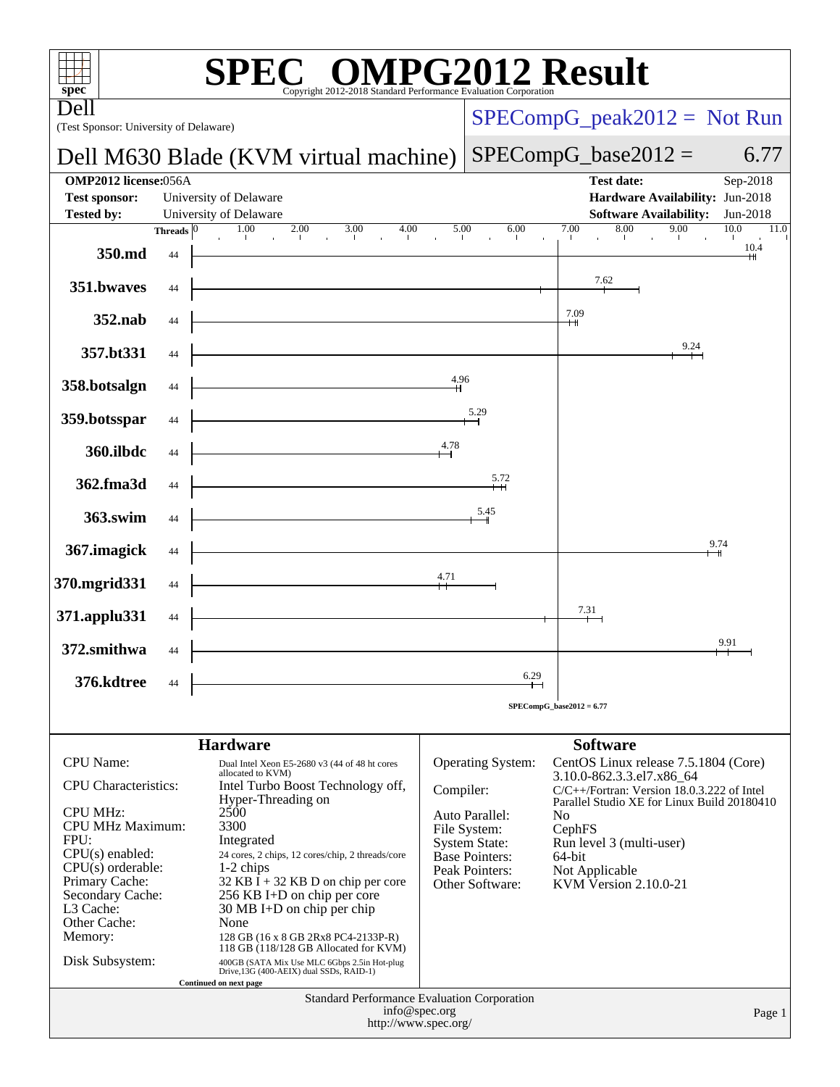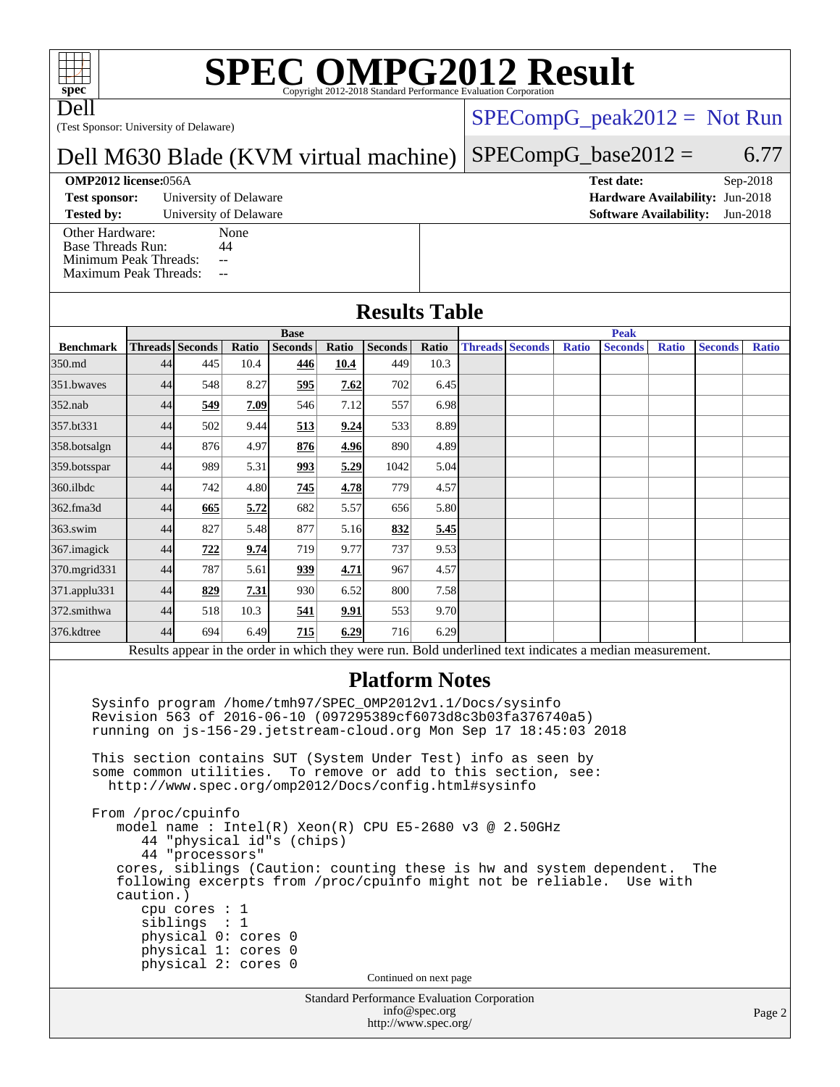# **[SPEC OMPG2012 Result](http://www.spec.org/auto/omp2012/Docs/result-fields.html#SPECOMPG2012Result)**

Dell

(Test Sponsor: University of Delaware)

## $SPECompG_peak2012 = Not Run$  $SPECompG_peak2012 = Not Run$

**Peak**

### Dell M630 Blade (KVM virtual machine)  $SPECompG_base2012 = 6.77$  $SPECompG_base2012 = 6.77$

**Base**

### **[OMP2012 license:](http://www.spec.org/auto/omp2012/Docs/result-fields.html#OMP2012license)**056A **[Test date:](http://www.spec.org/auto/omp2012/Docs/result-fields.html#Testdate)** Sep-2018

**[Test sponsor:](http://www.spec.org/auto/omp2012/Docs/result-fields.html#Testsponsor)** University of Delaware **[Hardware Availability:](http://www.spec.org/auto/omp2012/Docs/result-fields.html#HardwareAvailability)** Jun-2018

**[Tested by:](http://www.spec.org/auto/omp2012/Docs/result-fields.html#Testedby)** University of Delaware **[Software Availability:](http://www.spec.org/auto/omp2012/Docs/result-fields.html#SoftwareAvailability)** Jun-2018 [Other Hardware:](http://www.spec.org/auto/omp2012/Docs/result-fields.html#OtherHardware) None<br>Base Threads Run: 44 [Base Threads Run:](http://www.spec.org/auto/omp2012/Docs/result-fields.html#BaseThreadsRun)

[Minimum Peak Threads:](http://www.spec.org/auto/omp2012/Docs/result-fields.html#MinimumPeakThreads) --[Maximum Peak Threads:](http://www.spec.org/auto/omp2012/Docs/result-fields.html#MaximumPeakThreads) --

| <b>Results Table</b> |  |
|----------------------|--|
|----------------------|--|

| <b>Benchmark</b> |                                                                                                                                                                                                 | <b>Threads</b> Seconds | Ratio | <b>Seconds</b>                                                                                           | <b>Ratio</b> | Seconds               | Ratio | <b>Threads Seconds</b> | <b>Ratio</b> | <b>Seconds</b> | <b>Ratio</b> | <b>Seconds</b> | Ratio |
|------------------|-------------------------------------------------------------------------------------------------------------------------------------------------------------------------------------------------|------------------------|-------|----------------------------------------------------------------------------------------------------------|--------------|-----------------------|-------|------------------------|--------------|----------------|--------------|----------------|-------|
| 350.md           | 44                                                                                                                                                                                              | 445                    | 10.4  | 446                                                                                                      | 10.4         | 449                   | 10.3  |                        |              |                |              |                |       |
| 351 bwayes       | 44                                                                                                                                                                                              | 548                    | 8.27  | 595                                                                                                      | 7.62         | 702                   | 6.45  |                        |              |                |              |                |       |
| $352$ .nab       | 44                                                                                                                                                                                              | 549                    | 7.09  | 546                                                                                                      | 7.12         | 557                   | 6.98  |                        |              |                |              |                |       |
| 357.bt331        | 44                                                                                                                                                                                              | 502                    | 9.44  | 513                                                                                                      | 9.24         | 533                   | 8.89  |                        |              |                |              |                |       |
| 358.botsalgn     | 44                                                                                                                                                                                              | 876                    | 4.97  | 876                                                                                                      | 4.96         | 890                   | 4.89  |                        |              |                |              |                |       |
| 359.botsspar     | 44                                                                                                                                                                                              | 989                    | 5.31  | 993                                                                                                      | 5.29         | 1042                  | 5.04  |                        |              |                |              |                |       |
| 360.ilbdc        | 44                                                                                                                                                                                              | 742                    | 4.80  | 745                                                                                                      | 4.78         | 779                   | 4.57  |                        |              |                |              |                |       |
| 362.fma3d        | 44                                                                                                                                                                                              | 665                    | 5.72  | 682                                                                                                      | 5.57         | 656                   | 5.80  |                        |              |                |              |                |       |
| $363$ .swim      | 44                                                                                                                                                                                              | 827                    | 5.48  | 877                                                                                                      | 5.16         | 832                   | 5.45  |                        |              |                |              |                |       |
| 367. imagick     | 44                                                                                                                                                                                              | 722                    | 9.74  | 719                                                                                                      | 9.77         | 737                   | 9.53  |                        |              |                |              |                |       |
| 370.mgrid331     | 44                                                                                                                                                                                              | 787                    | 5.61  | 939                                                                                                      | 4.71         | 967                   | 4.57  |                        |              |                |              |                |       |
| 371.applu331     | 44                                                                                                                                                                                              | 829                    | 7.31  | 930                                                                                                      | 6.52         | 800                   | 7.58  |                        |              |                |              |                |       |
| 372.smithwa      | 44                                                                                                                                                                                              | 518                    | 10.3  | 541                                                                                                      | 9.91         | 553                   | 9.70  |                        |              |                |              |                |       |
| 376.kdtree       | 44                                                                                                                                                                                              | 694                    | 6.49  | 715                                                                                                      | 6.29         | 716                   | 6.29  |                        |              |                |              |                |       |
|                  |                                                                                                                                                                                                 |                        |       | Results appear in the order in which they were run. Bold underlined text indicates a median measurement. |              |                       |       |                        |              |                |              |                |       |
|                  |                                                                                                                                                                                                 |                        |       |                                                                                                          |              | <b>Platform Notes</b> |       |                        |              |                |              |                |       |
|                  | Sysinfo program /home/tmh97/SPEC_OMP2012v1.1/Docs/sysinfo<br>Revision 563 of 2016-06-10 (097295389cf6073d8c3b03fa376740a5)<br>running on js-156-29.jetstream-cloud.org Mon Sep 17 18:45:03 2018 |                        |       |                                                                                                          |              |                       |       |                        |              |                |              |                |       |

 This section contains SUT (System Under Test) info as seen by some common utilities. To remove or add to this section, see: <http://www.spec.org/omp2012/Docs/config.html#sysinfo>

 From /proc/cpuinfo model name : Intel(R) Xeon(R) CPU E5-2680 v3 @ 2.50GHz 44 "physical id"s (chips) 44 "processors" cores, siblings (Caution: counting these is hw and system dependent. The following excerpts from /proc/cpuinfo might not be reliable. Use with caution.) cpu cores : 1 siblings : 1 physical 0: cores 0 physical 1: cores 0 physical 2: cores 0 Continued on next page

Standard Performance Evaluation Corporation [info@spec.org](mailto:info@spec.org) <http://www.spec.org/>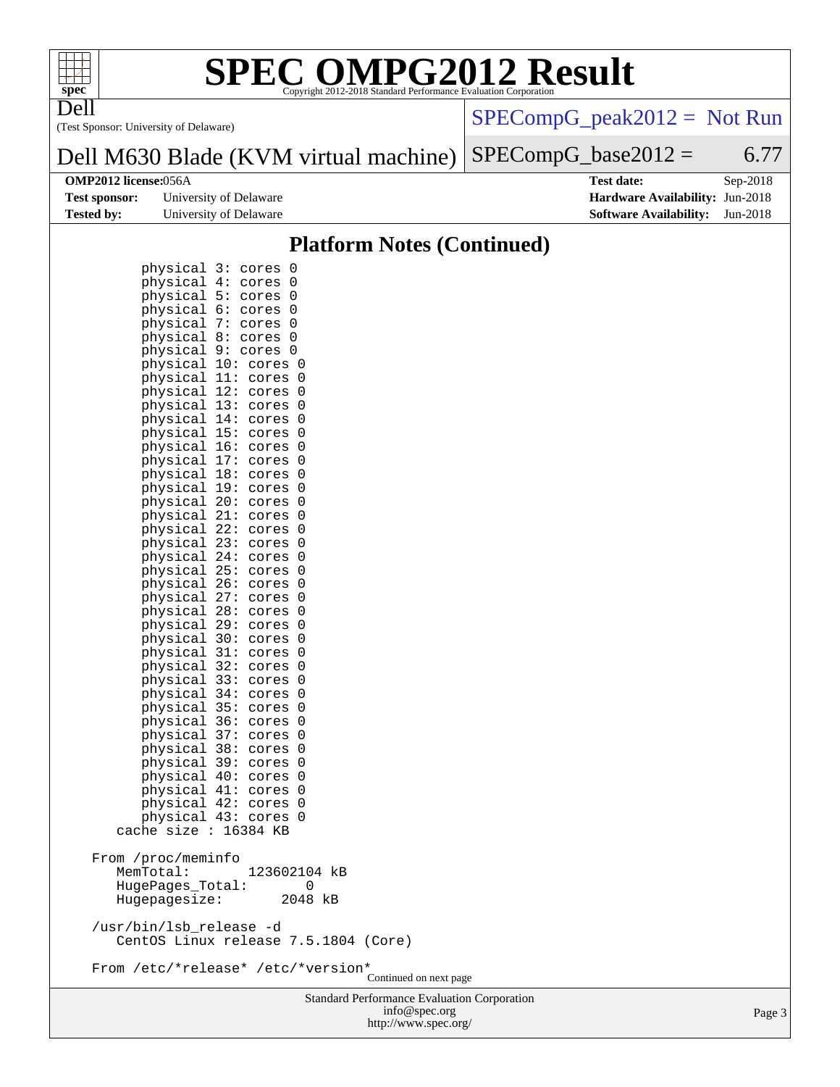

## **[SPEC OMPG2012 Result](http://www.spec.org/auto/omp2012/Docs/result-fields.html#SPECOMPG2012Result)**

(Test Sponsor: University of Delaware) Dell

[SPECompG\\_peak2012 =](http://www.spec.org/auto/omp2012/Docs/result-fields.html#SPECompGpeak2012) Not Run

### Dell M630 Blade (KVM virtual machine)  $SPECompG_base2012 = 6.77$  $SPECompG_base2012 = 6.77$

| <b>Test sponsor:</b> | University of Delaware |
|----------------------|------------------------|
| Tested bv:           | University of Delaware |

**[OMP2012 license:](http://www.spec.org/auto/omp2012/Docs/result-fields.html#OMP2012license)**056A **[Test date:](http://www.spec.org/auto/omp2012/Docs/result-fields.html#Testdate)** Sep-2018 **[Hardware Availability:](http://www.spec.org/auto/omp2012/Docs/result-fields.html#HardwareAvailability)** Jun-2018 **[Software Availability:](http://www.spec.org/auto/omp2012/Docs/result-fields.html#SoftwareAvailability)** Jun-2018

### **[Platform Notes \(Continued\)](http://www.spec.org/auto/omp2012/Docs/result-fields.html#PlatformNotes)**

| physical<br>physical<br>physical<br>physical<br>physical<br>physical<br>physical<br>physical<br>physical 11:<br>physical<br>physical 13:<br>physical 14:<br>physical 15:<br>physical 16:<br>physical 17:<br>physical 18:<br>physical 19:<br>physical 20:<br>physical 21:<br>physical 22:<br>physical 23:<br>physical 24:<br>physical 25:<br>physical 26:<br>physical 27:<br>physical 28:<br>physical 29:<br>physical 30:<br>physical 31:<br>physical 32:<br>physical 33:<br>physical 34:<br>physical 35:<br>physical 36:<br>physical 37:<br>physical 38:<br>physical 39:<br>physical 40:<br>physical<br>physical | 3:<br>0<br>cores<br>4:<br>0<br>cores<br>5:<br>0<br>cores<br>6:<br>0<br>cores<br>7:<br>0<br>cores<br>8:<br>0<br>cores<br>9 :<br>0<br>cores<br>10:<br>0<br>cores<br>0<br>cores<br>12:<br>cores<br>0<br>0<br>cores<br>cores<br>0<br>cores<br>0<br>0<br>cores<br>cores<br>0<br>cores<br>0<br>0<br>cores<br>cores<br>0<br>cores<br>0<br>0<br>cores<br>cores<br>0<br>cores<br>0<br>0<br>cores<br>cores<br>0<br>cores<br>0<br>0<br>cores<br>cores<br>0<br>cores<br>0<br>cores<br>0<br>cores<br>0<br>cores<br>0<br>0<br>cores<br>cores<br>0<br>cores<br>0<br>0<br>cores<br>cores<br>0<br>cores<br>0<br>0<br>cores<br>41:<br>cores<br>0<br>42:<br>0<br>cores |                        |
|------------------------------------------------------------------------------------------------------------------------------------------------------------------------------------------------------------------------------------------------------------------------------------------------------------------------------------------------------------------------------------------------------------------------------------------------------------------------------------------------------------------------------------------------------------------------------------------------------------------|-----------------------------------------------------------------------------------------------------------------------------------------------------------------------------------------------------------------------------------------------------------------------------------------------------------------------------------------------------------------------------------------------------------------------------------------------------------------------------------------------------------------------------------------------------------------------------------------------------------------------------------------------------|------------------------|
| physical<br>cache size :                                                                                                                                                                                                                                                                                                                                                                                                                                                                                                                                                                                         | 43:<br>0<br>cores<br>16384 KB                                                                                                                                                                                                                                                                                                                                                                                                                                                                                                                                                                                                                       |                        |
| From /proc/meminfo<br>MemTotal:<br>HugePages_Total:<br>Hugepagesize:<br>/usr/bin/lsb_release -d                                                                                                                                                                                                                                                                                                                                                                                                                                                                                                                  | 123602104 kB<br>0<br>2048 kB<br>CentOS Linux release 7.5.1804 (Core)                                                                                                                                                                                                                                                                                                                                                                                                                                                                                                                                                                                |                        |
|                                                                                                                                                                                                                                                                                                                                                                                                                                                                                                                                                                                                                  | From /etc/*release* /etc/*version*                                                                                                                                                                                                                                                                                                                                                                                                                                                                                                                                                                                                                  | Continued on next page |

Standard Performance Evaluation Corporation [info@spec.org](mailto:info@spec.org) <http://www.spec.org/>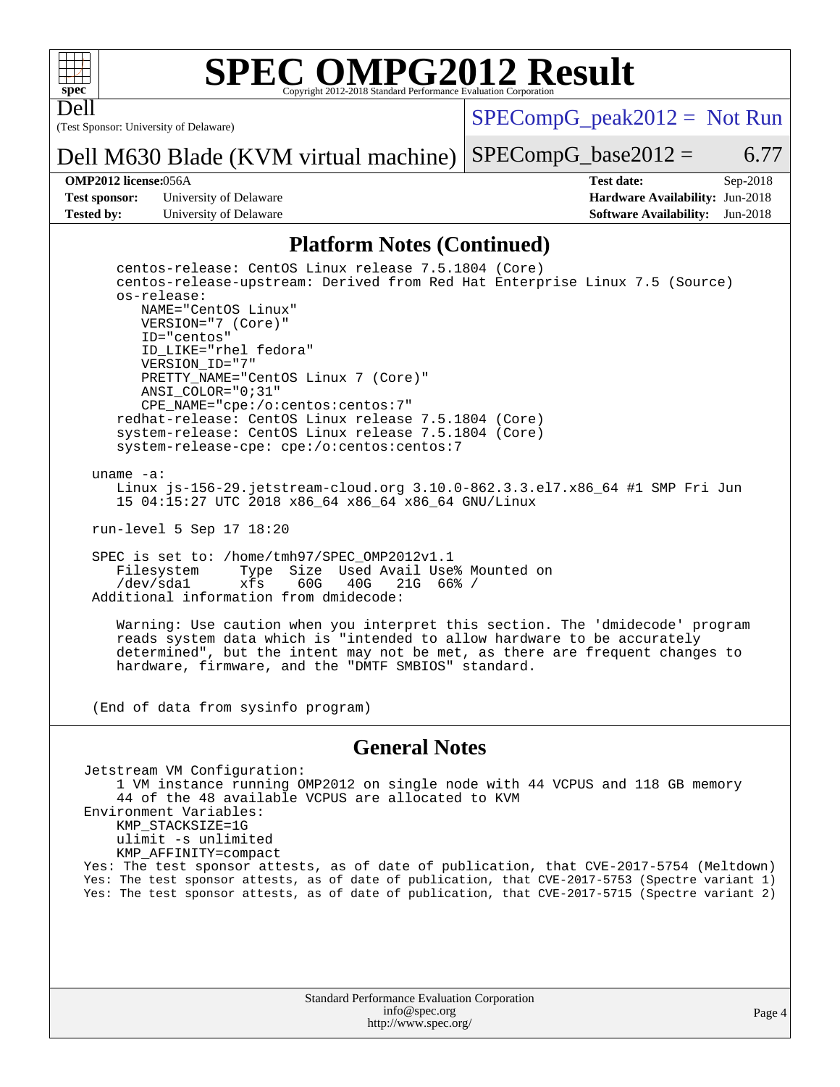

Dell

## **[SPEC OMPG2012 Result](http://www.spec.org/auto/omp2012/Docs/result-fields.html#SPECOMPG2012Result)**

(Test Sponsor: University of Delaware)

 $SPECompG_peak2012 = Not Run$  $SPECompG_peak2012 = Not Run$ 

Dell M630 Blade (KVM virtual machine)  $SPECompG_base2012 = 6.77$  $SPECompG_base2012 = 6.77$ 

**[Test sponsor:](http://www.spec.org/auto/omp2012/Docs/result-fields.html#Testsponsor)** University of Delaware **[Hardware Availability:](http://www.spec.org/auto/omp2012/Docs/result-fields.html#HardwareAvailability)** Jun-2018 **[Tested by:](http://www.spec.org/auto/omp2012/Docs/result-fields.html#Testedby)** University of Delaware **[Software Availability:](http://www.spec.org/auto/omp2012/Docs/result-fields.html#SoftwareAvailability)** Jun-2018

**[OMP2012 license:](http://www.spec.org/auto/omp2012/Docs/result-fields.html#OMP2012license)**056A **[Test date:](http://www.spec.org/auto/omp2012/Docs/result-fields.html#Testdate)** Sep-2018

### **[Platform Notes \(Continued\)](http://www.spec.org/auto/omp2012/Docs/result-fields.html#PlatformNotes)**

 centos-release: CentOS Linux release 7.5.1804 (Core) centos-release-upstream: Derived from Red Hat Enterprise Linux 7.5 (Source) os-release: NAME="CentOS Linux" VERSION="7 (Core)" ID="centos" ID\_LIKE="rhel fedora" VERSION\_ID="7" PRETTY\_NAME="CentOS Linux 7 (Core)" ANSI\_COLOR="0;31" CPE\_NAME="cpe:/o:centos:centos:7" redhat-release: CentOS Linux release 7.5.1804 (Core) system-release: CentOS Linux release 7.5.1804 (Core) system-release-cpe: cpe:/o:centos:centos:7

uname -a:

 Linux js-156-29.jetstream-cloud.org 3.10.0-862.3.3.el7.x86\_64 #1 SMP Fri Jun 15 04:15:27 UTC 2018 x86\_64 x86\_64 x86\_64 GNU/Linux

run-level 5 Sep 17 18:20

SPEC is set to: /home/tmh97/SPEC\_OMP2012v1.1<br>Filesystem Type Size Used Avail Use Type Size Used Avail Use% Mounted on<br>xfs 60G 40G 21G 66% / /dev/sda1 xfs 60G 40G 21G 66% / Additional information from dmidecode:

 Warning: Use caution when you interpret this section. The 'dmidecode' program reads system data which is "intended to allow hardware to be accurately determined", but the intent may not be met, as there are frequent changes to hardware, firmware, and the "DMTF SMBIOS" standard.

(End of data from sysinfo program)

### **[General Notes](http://www.spec.org/auto/omp2012/Docs/result-fields.html#GeneralNotes)**

Jetstream VM Configuration: 1 VM instance running OMP2012 on single node with 44 VCPUS and 118 GB memory 44 of the 48 available VCPUS are allocated to KVM Environment Variables: KMP\_STACKSIZE=1G ulimit -s unlimited KMP\_AFFINITY=compact Yes: The test sponsor attests, as of date of publication, that CVE-2017-5754 (Meltdown) Yes: The test sponsor attests, as of date of publication, that CVE-2017-5753 (Spectre variant 1) Yes: The test sponsor attests, as of date of publication, that CVE-2017-5715 (Spectre variant 2)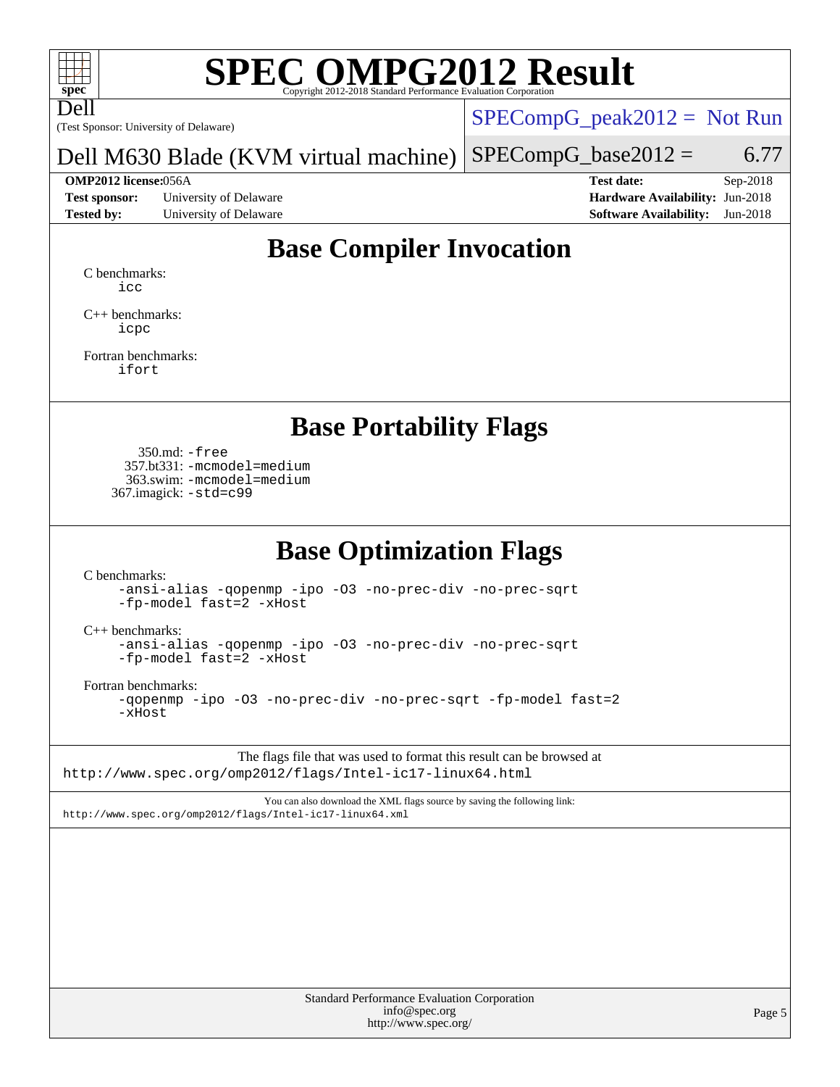

Dell

# **[SPEC OMPG2012 Result](http://www.spec.org/auto/omp2012/Docs/result-fields.html#SPECOMPG2012Result)**

(Test Sponsor: University of Delaware)

 $SPECompG_peak2012 = Not Run$  $SPECompG_peak2012 = Not Run$ 

Dell M630 Blade (KVM virtual machine)  $SPECompG_base2012 = 6.77$  $SPECompG_base2012 = 6.77$ 

**[Test sponsor:](http://www.spec.org/auto/omp2012/Docs/result-fields.html#Testsponsor)** University of Delaware **[Hardware Availability:](http://www.spec.org/auto/omp2012/Docs/result-fields.html#HardwareAvailability)** Jun-2018 **[Tested by:](http://www.spec.org/auto/omp2012/Docs/result-fields.html#Testedby)** University of Delaware **[Software Availability:](http://www.spec.org/auto/omp2012/Docs/result-fields.html#SoftwareAvailability)** Jun-2018

**[OMP2012 license:](http://www.spec.org/auto/omp2012/Docs/result-fields.html#OMP2012license)**056A **[Test date:](http://www.spec.org/auto/omp2012/Docs/result-fields.html#Testdate)** Sep-2018

# **[Base Compiler Invocation](http://www.spec.org/auto/omp2012/Docs/result-fields.html#BaseCompilerInvocation)**

[C benchmarks](http://www.spec.org/auto/omp2012/Docs/result-fields.html#Cbenchmarks): [icc](http://www.spec.org/omp2012/results/res2018q4/omp2012-20181125-00156.flags.html#user_CCbase_intel_icc_a87c68a857bc5ec5362391a49d3a37a6)

[C++ benchmarks:](http://www.spec.org/auto/omp2012/Docs/result-fields.html#CXXbenchmarks) [icpc](http://www.spec.org/omp2012/results/res2018q4/omp2012-20181125-00156.flags.html#user_CXXbase_intel_icpc_2d899f8d163502b12eb4a60069f80c1c)

[Fortran benchmarks](http://www.spec.org/auto/omp2012/Docs/result-fields.html#Fortranbenchmarks): [ifort](http://www.spec.org/omp2012/results/res2018q4/omp2012-20181125-00156.flags.html#user_FCbase_intel_ifort_8a5e5e06b19a251bdeaf8fdab5d62f20)

## **[Base Portability Flags](http://www.spec.org/auto/omp2012/Docs/result-fields.html#BasePortabilityFlags)**

 350.md: [-free](http://www.spec.org/omp2012/results/res2018q4/omp2012-20181125-00156.flags.html#user_baseFPORTABILITY350_md_f-FR_e51be0673775d2012b3310fa5323f530) 357.bt331: [-mcmodel=medium](http://www.spec.org/omp2012/results/res2018q4/omp2012-20181125-00156.flags.html#user_basePORTABILITY357_bt331_f-mcmodel_3a41622424bdd074c4f0f2d2f224c7e5) 363.swim: [-mcmodel=medium](http://www.spec.org/omp2012/results/res2018q4/omp2012-20181125-00156.flags.html#user_basePORTABILITY363_swim_f-mcmodel_3a41622424bdd074c4f0f2d2f224c7e5) 367.imagick: [-std=c99](http://www.spec.org/omp2012/results/res2018q4/omp2012-20181125-00156.flags.html#user_baseCPORTABILITY367_imagick_f-std_2ec6533b6e06f1c4a6c9b78d9e9cde24)

## **[Base Optimization Flags](http://www.spec.org/auto/omp2012/Docs/result-fields.html#BaseOptimizationFlags)**

[C benchmarks](http://www.spec.org/auto/omp2012/Docs/result-fields.html#Cbenchmarks):

[-ansi-alias](http://www.spec.org/omp2012/results/res2018q4/omp2012-20181125-00156.flags.html#user_CCbase_f-ansi-alias) [-qopenmp](http://www.spec.org/omp2012/results/res2018q4/omp2012-20181125-00156.flags.html#user_CCbase_f-qopenmp) [-ipo](http://www.spec.org/omp2012/results/res2018q4/omp2012-20181125-00156.flags.html#user_CCbase_f-ipo) [-O3](http://www.spec.org/omp2012/results/res2018q4/omp2012-20181125-00156.flags.html#user_CCbase_f-O3) [-no-prec-div](http://www.spec.org/omp2012/results/res2018q4/omp2012-20181125-00156.flags.html#user_CCbase_f-no-prec-div) [-no-prec-sqrt](http://www.spec.org/omp2012/results/res2018q4/omp2012-20181125-00156.flags.html#user_CCbase_f-no-prec-sqrt) [-fp-model fast=2](http://www.spec.org/omp2012/results/res2018q4/omp2012-20181125-00156.flags.html#user_CCbase_f-fp-model_a7fb8ccb7275e23f0079632c153cfcab) [-xHost](http://www.spec.org/omp2012/results/res2018q4/omp2012-20181125-00156.flags.html#user_CCbase_f-xhost_1e10f91eff8f78573df9db5f5d873511)

[C++ benchmarks:](http://www.spec.org/auto/omp2012/Docs/result-fields.html#CXXbenchmarks)

[-ansi-alias](http://www.spec.org/omp2012/results/res2018q4/omp2012-20181125-00156.flags.html#user_CXXbase_f-ansi-alias) [-qopenmp](http://www.spec.org/omp2012/results/res2018q4/omp2012-20181125-00156.flags.html#user_CXXbase_f-qopenmp) [-ipo](http://www.spec.org/omp2012/results/res2018q4/omp2012-20181125-00156.flags.html#user_CXXbase_f-ipo) [-O3](http://www.spec.org/omp2012/results/res2018q4/omp2012-20181125-00156.flags.html#user_CXXbase_f-O3) [-no-prec-div](http://www.spec.org/omp2012/results/res2018q4/omp2012-20181125-00156.flags.html#user_CXXbase_f-no-prec-div) [-no-prec-sqrt](http://www.spec.org/omp2012/results/res2018q4/omp2012-20181125-00156.flags.html#user_CXXbase_f-no-prec-sqrt) [-fp-model fast=2](http://www.spec.org/omp2012/results/res2018q4/omp2012-20181125-00156.flags.html#user_CXXbase_f-fp-model_a7fb8ccb7275e23f0079632c153cfcab) [-xHost](http://www.spec.org/omp2012/results/res2018q4/omp2012-20181125-00156.flags.html#user_CXXbase_f-xhost_1e10f91eff8f78573df9db5f5d873511)

[Fortran benchmarks](http://www.spec.org/auto/omp2012/Docs/result-fields.html#Fortranbenchmarks):

[-qopenmp](http://www.spec.org/omp2012/results/res2018q4/omp2012-20181125-00156.flags.html#user_FCbase_f-qopenmp) [-ipo](http://www.spec.org/omp2012/results/res2018q4/omp2012-20181125-00156.flags.html#user_FCbase_f-ipo) [-O3](http://www.spec.org/omp2012/results/res2018q4/omp2012-20181125-00156.flags.html#user_FCbase_f-O3) [-no-prec-div](http://www.spec.org/omp2012/results/res2018q4/omp2012-20181125-00156.flags.html#user_FCbase_f-no-prec-div) [-no-prec-sqrt](http://www.spec.org/omp2012/results/res2018q4/omp2012-20181125-00156.flags.html#user_FCbase_f-no-prec-sqrt) [-fp-model fast=2](http://www.spec.org/omp2012/results/res2018q4/omp2012-20181125-00156.flags.html#user_FCbase_f-fp-model_a7fb8ccb7275e23f0079632c153cfcab) [-xHost](http://www.spec.org/omp2012/results/res2018q4/omp2012-20181125-00156.flags.html#user_FCbase_f-xhost_1e10f91eff8f78573df9db5f5d873511)

The flags file that was used to format this result can be browsed at <http://www.spec.org/omp2012/flags/Intel-ic17-linux64.html>

You can also download the XML flags source by saving the following link: <http://www.spec.org/omp2012/flags/Intel-ic17-linux64.xml>